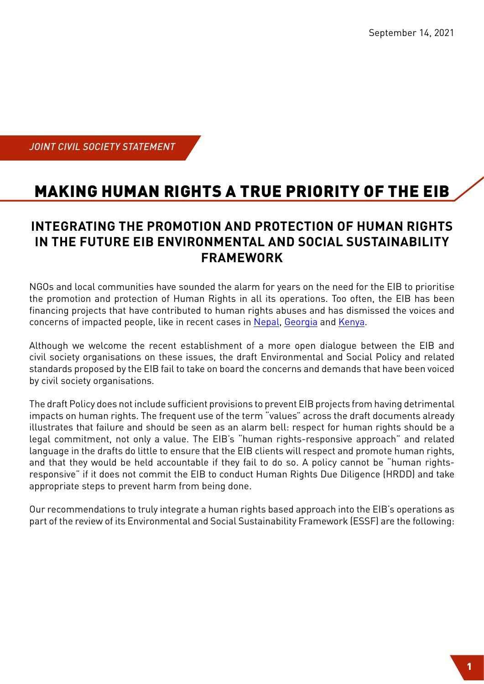*JOINT CIVIL SOCIETY STATEMENT*

# MAKING HUMAN RIGHTS A TRUE PRIORITY OF THE EIB

#### **INTEGRATING THE PROMOTION AND PROTECTION OF HUMAN RIGHTS IN THE FUTURE EIB ENVIRONMENTAL AND SOCIAL SUSTAINABILITY FRAMEWORK**

NGOs and local communities have sounded the alarm for years on the need for the EIB to prioritise the promotion and protection of Human Rights in all its operations. Too often, the EIB has been financing projects that have contributed to human rights abuses and has dismissed the voices and concerns of impacted people, like in recent cases in [Nepal,](https://www.accountabilitycounsel.org/2020/10/indigenous-communities-in-nepal-launch-free-prior-and-informed-consent-protocol-for-eib-funded-marsyangdi-corridor-transmission-line/) [Georgia](https://bankwatch.org/project/nenskra-hydropower-plant-georgia) and [Kenya.](https://bankwatch.org/publication/highway-of-destruction-raises-questions-about-effective-and-safe-access-to-remedy-and-poor-human-rights-safeguards-at-the-eib)

Although we welcome the recent establishment of a more open dialogue between the EIB and civil society organisations on these issues, the draft Environmental and Social Policy and related standards proposed by the EIB fail to take on board the concerns and demands that have been voiced by civil society organisations.

The draft Policy does not include sufficient provisions to prevent EIB projects from having detrimental impacts on human rights. The frequent use of the term "values" across the draft documents already illustrates that failure and should be seen as an alarm bell: respect for human rights should be a legal commitment, not only a value. The EIB's "human rights-responsive approach" and related language in the drafts do little to ensure that the EIB clients will respect and promote human rights, and that they would be held accountable if they fail to do so. A policy cannot be "human rightsresponsive" if it does not commit the EIB to conduct Human Rights Due Diligence (HRDD) and take appropriate steps to prevent harm from being done.

Our recommendations to truly integrate a human rights based approach into the EIB's operations as part of the review of its Environmental and Social Sustainability Framework (ESSF) are the following: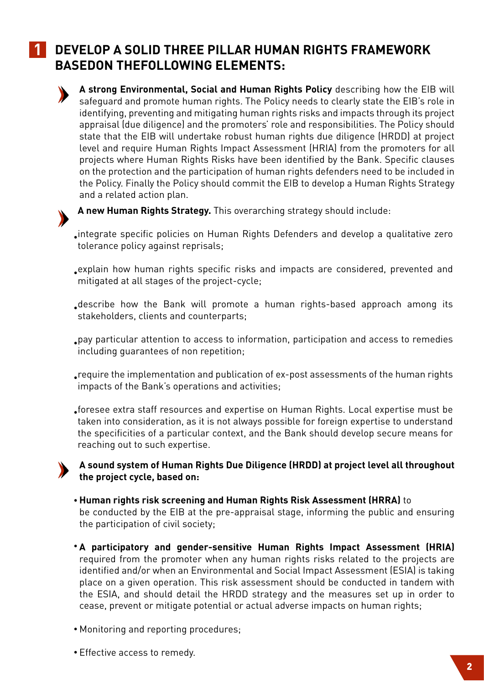#### **1 DEVELOP A SOLID THREE PILLAR HUMAN RIGHTS FRAMEWORK BASEDON THEFOLLOWING ELEMENTS:**



**A strong Environmental, Social and Human Rights Policy** describing how the EIB will safeguard and promote human rights. The Policy needs to clearly state the EIB's role in identifying, preventing and mitigating human rights risks and impacts through its project appraisal (due diligence) and the promoters' role and responsibilities. The Policy should state that the EIB will undertake robust human rights due diligence (HRDD) at project level and require Human Rights Impact Assessment (HRIA) from the promoters for all projects where Human Rights Risks have been identified by the Bank. Specific clauses on the protection and the participation of human rights defenders need to be included in the Policy. Finally the Policy should commit the EIB to develop a Human Rights Strategy and a related action plan.



**A new Human Rights Strategy.** This overarching strategy should include:

integrate specific policies on Human Rights Defenders and develop a qualitative zero • tolerance policy against reprisals;

explain how human rights specific risks and impacts are considered, prevented and • mitigated at all stages of the project-cycle;

describe how the Bank will promote a human rights-based approach among its • stakeholders, clients and counterparts;

pay particular attention to access to information, participation and access to remedies • including guarantees of non repetition;

 $_{\bullet}$ require the implementation and publication of ex-post assessments of the human rights impacts of the Bank's operations and activities;

foresee extra staff resources and expertise on Human Rights. Local expertise must be • taken into consideration, as it is not always possible for foreign expertise to understand the specificities of a particular context, and the Bank should develop secure means for reaching out to such expertise.

#### **A sound system of Human Rights Due Diligence (HRDD) at project level all throughout the project cycle, based on:**

- **Human rights risk screening and Human Rights Risk Assessment (HRRA)** to be conducted by the EIB at the pre-appraisal stage, informing the public and ensuring the participation of civil society;
- **A participatory and gender-sensitive Human Rights Impact Assessment (HRIA)**  required from the promoter when any human rights risks related to the projects are identified and/or when an Environmental and Social Impact Assessment (ESIA) is taking place on a given operation. This risk assessment should be conducted in tandem with the ESIA, and should detail the HRDD strategy and the measures set up in order to cease, prevent or mitigate potential or actual adverse impacts on human rights;
- Monitoring and reporting procedures; •
- Effective access to remedy. •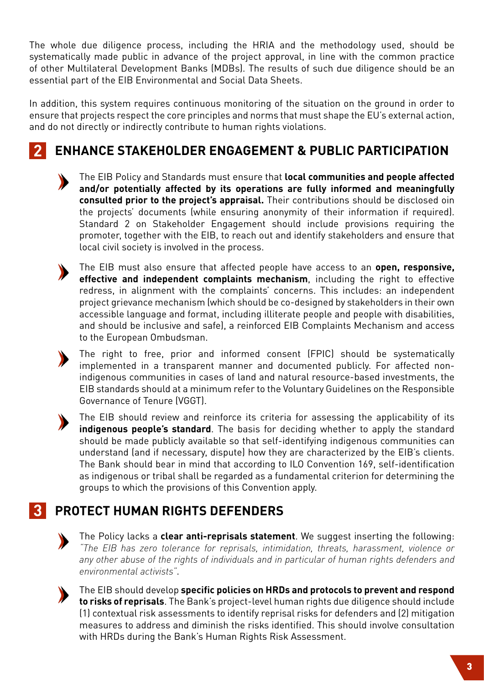The whole due diligence process, including the HRIA and the methodology used, should be systematically made public in advance of the project approval, in line with the common practice of other Multilateral Development Banks (MDBs). The results of such due diligence should be an essential part of the EIB Environmental and Social Data Sheets.

In addition, this system requires continuous monitoring of the situation on the ground in order to ensure that projects respect the core principles and norms that must shape the EU's external action, and do not directly or indirectly contribute to human rights violations.

### **2 ENHANCE STAKEHOLDER ENGAGEMENT & PUBLIC PARTICIPATION**

The EIB Policy and Standards must ensure that **local communities and people affected and/or potentially affected by its operations are fully informed and meaningfully consulted prior to the project's appraisal.** Their contributions should be disclosed oin the projects' documents (while ensuring anonymity of their information if required). Standard 2 on Stakeholder Engagement should include provisions requiring the promoter, together with the EIB, to reach out and identify stakeholders and ensure that local civil society is involved in the process.



The EIB must also ensure that affected people have access to an **open, responsive, effective and independent complaints mechanism**, including the right to effective redress, in alignment with the complaints' concerns. This includes: an independent project grievance mechanism (which should be co-designed by stakeholders in their own accessible language and format, including illiterate people and people with disabilities, and should be inclusive and safe), a reinforced EIB Complaints Mechanism and access to the European Ombudsman.

The right to free, prior and informed consent (FPIC) should be systematically implemented in a transparent manner and documented publicly. For affected nonindigenous communities in cases of land and natural resource-based investments, the EIB standards should at a minimum refer to the Voluntary Guidelines on the Responsible Governance of Tenure (VGGT).

The EIB should review and reinforce its criteria for assessing the applicability of its **indigenous people's standard**. The basis for deciding whether to apply the standard should be made publicly available so that self-identifying indigenous communities can understand (and if necessary, dispute) how they are characterized by the EIB's clients. The Bank should bear in mind that according to ILO Convention 169, self-identification as indigenous or tribal shall be regarded as a fundamental criterion for determining the groups to which the provisions of this Convention apply.

## **3 PROTECT HUMAN RIGHTS DEFENDERS**



The Policy lacks a **clear anti-reprisals statement**. We suggest inserting the following: *"The EIB has zero tolerance for reprisals, intimidation, threats, harassment, violence or any other abuse of the rights of individuals and in particular of human rights defenders and environmental activists"*.



The EIB should develop **specific policies on HRDs and protocols to prevent and respond to risks of reprisals**. The Bank's project-level human rights due diligence should include (1) contextual risk assessments to identify reprisal risks for defenders and (2) mitigation measures to address and diminish the risks identified. This should involve consultation with HRDs during the Bank's Human Rights Risk Assessment.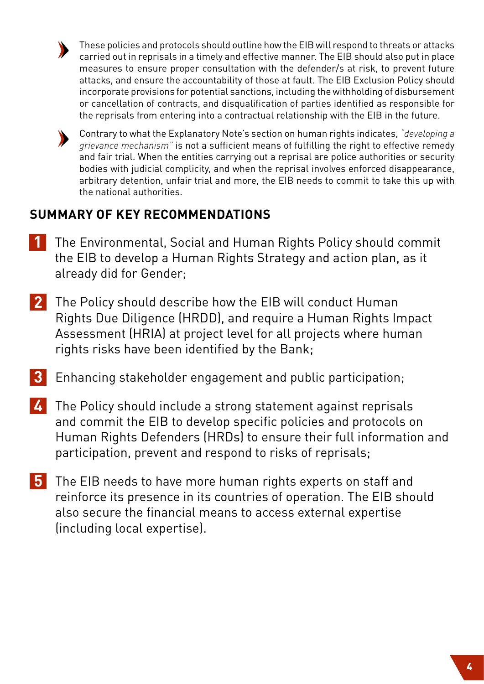

These policies and protocols should outline how the EIB will respond to threats or attacks carried out in reprisals in a timely and effective manner. The EIB should also put in place measures to ensure proper consultation with the defender/s at risk, to prevent future attacks, and ensure the accountability of those at fault. The EIB Exclusion Policy should incorporate provisions for potential sanctions, including the withholding of disbursement or cancellation of contracts, and disqualification of parties identified as responsible for the reprisals from entering into a contractual relationship with the EIB in the future.



Contrary to what the Explanatory Note's section on human rights indicates, *"developing a grievance mechanism"* is not a sufficient means of fulfilling the right to effective remedy and fair trial. When the entities carrying out a reprisal are police authorities or security bodies with judicial complicity, and when the reprisal involves enforced disappearance, arbitrary detention, unfair trial and more, the EIB needs to commit to take this up with the national authorities.

### **SUMMARY OF KEY RECOMMENDATIONS**

- **1** The Environmental, Social and Human Rights Policy should commit the EIB to develop a Human Rights Strategy and action plan, as it already did for Gender;
- **2** The Policy should describe how the EIB will conduct Human Rights Due Diligence (HRDD), and require a Human Rights Impact Assessment (HRIA) at project level for all projects where human rights risks have been identified by the Bank;
- **3** Enhancing stakeholder engagement and public participation;
- **4** The Policy should include a strong statement against reprisals and commit the EIB to develop specific policies and protocols on Human Rights Defenders (HRDs) to ensure their full information and participation, prevent and respond to risks of reprisals;
- **5** The EIB needs to have more human rights experts on staff and reinforce its presence in its countries of operation. The EIB should also secure the financial means to access external expertise (including local expertise).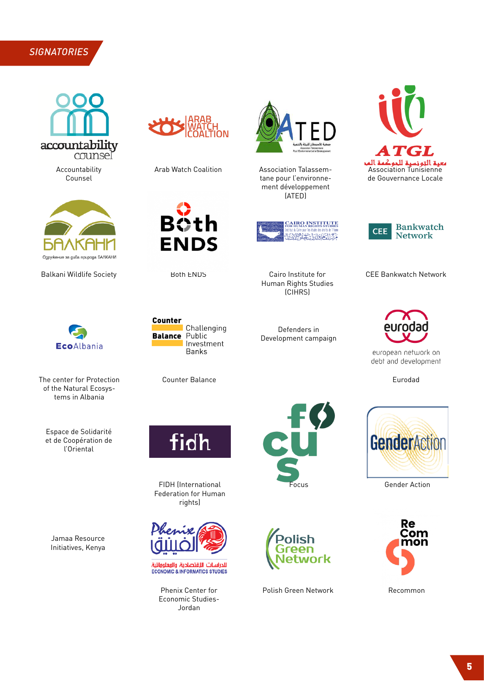#### *SIGNATORIES*



Accountability Counsel





The center for Protection **Eurodad** Counter Balance **Eurodad** Eurodad of the Natural Ecosystems in Albania

Espace de Solidarité et de Coopération de l'Oriental

Jamaa Resource Initiatives, Kenya





Both ENDS Cairo Institute for

**Counter** 

**Balance** 



Arab Watch Coalition **Association Talassem**tane pour l'environnement développement (ATED)



Defenders in Development campaign

Human Rights Studies (CIHRS)



**Bankwatch CEE Network** 

Balkani Wildlife Society **CEE Bankwatch Network** Both ENDS Cairo Institute for CEE Bankwatch Network





Counter Balance

Challenging

Public Investment

**Banks** 

FIDH (International Federation for Human rights)



.<br><mark>للدراسات اللقتصادية والوعلوواتية</mark><br>ECONOMIC & INFORMATICS STUDIES

Phenix Center for Economic Studies-Jordan





Polish Green Network **Recommon** 



european network on debt and development



**Gender Action**